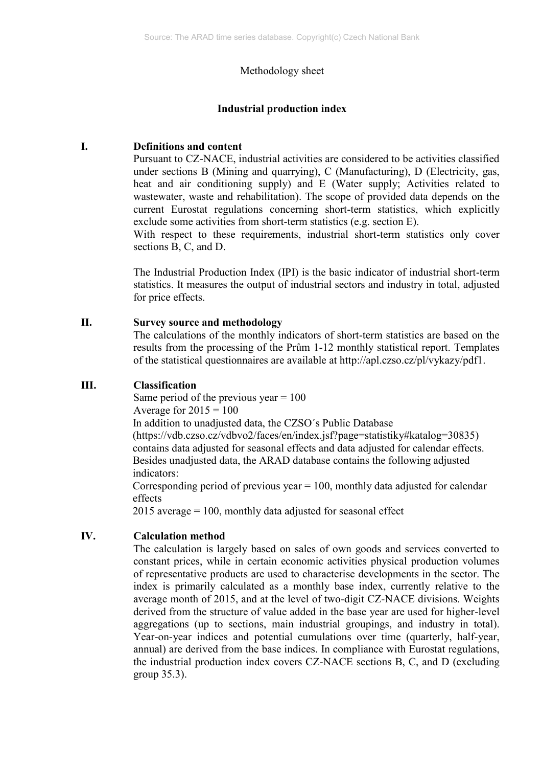## Methodology sheet

## **Industrial production index**

### **I. Definitions and content**

Pursuant to CZ-NACE, industrial activities are considered to be activities classified under sections B (Mining and quarrying), C (Manufacturing), D (Electricity, gas, heat and air conditioning supply) and E (Water supply; Activities related to wastewater, waste and rehabilitation). The scope of provided data depends on the current Eurostat regulations concerning short-term statistics, which explicitly exclude some activities from short-term statistics (e.g. section E).

With respect to these requirements, industrial short-term statistics only cover sections B, C, and D.

The Industrial Production Index (IPI) is the basic indicator of industrial short-term statistics. It measures the output of industrial sectors and industry in total, adjusted for price effects.

#### **II. Survey source and methodology**

The calculations of the monthly indicators of short-term statistics are based on the results from the processing of the Prům 1-12 monthly statistical report. Templates of the statistical questionnaires are available at http://apl.czso.cz/pl/vykazy/pdf1.

## **III. Classification**

Same period of the previous year  $= 100$ Average for  $2015 = 100$ 

In addition to unadjusted data, the CZSO´s Public Database

 [\(https://vdb.czso.cz/vdbvo2/faces/en/index.jsf?page=statistiky#katalog=30835\)](https://vdb.czso.cz/vdbvo2/faces/en/index.jsf?page=statistiky#katalog=30835) contains data adjusted for seasonal effects and data adjusted for calendar effects. Besides unadjusted data, the ARAD database contains the following adjusted indicators:

Corresponding period of previous year  $= 100$ , monthly data adjusted for calendar effects

2015 average = 100, monthly data adjusted for seasonal effect

# **IV. Calculation method**

The calculation is largely based on sales of own goods and services converted to constant prices, while in certain economic activities physical production volumes of representative products are used to characterise developments in the sector. The index is primarily calculated as a monthly base index, currently relative to the average month of 2015, and at the level of two-digit CZ-NACE divisions. Weights derived from the structure of value added in the base year are used for higher-level aggregations (up to sections, main industrial groupings, and industry in total). Year-on-year indices and potential cumulations over time (quarterly, half-year, annual) are derived from the base indices. In compliance with Eurostat regulations, the industrial production index covers CZ-NACE sections B, C, and D (excluding group 35.3).